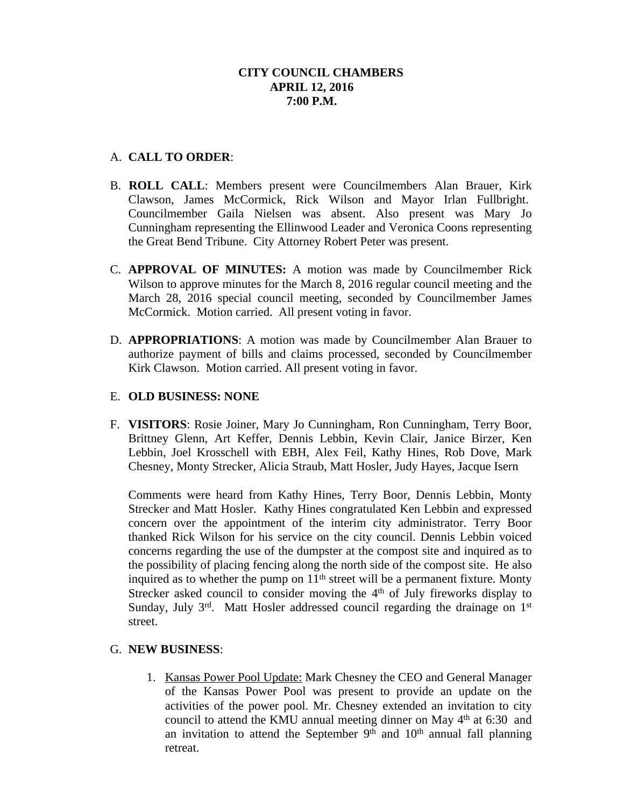# **CITY COUNCIL CHAMBERS APRIL 12, 2016 7:00 P.M.**

# A. **CALL TO ORDER**:

- B. **ROLL CALL**: Members present were Councilmembers Alan Brauer, Kirk Clawson, James McCormick, Rick Wilson and Mayor Irlan Fullbright. Councilmember Gaila Nielsen was absent. Also present was Mary Jo Cunningham representing the Ellinwood Leader and Veronica Coons representing the Great Bend Tribune. City Attorney Robert Peter was present.
- C. **APPROVAL OF MINUTES:** A motion was made by Councilmember Rick Wilson to approve minutes for the March 8, 2016 regular council meeting and the March 28, 2016 special council meeting, seconded by Councilmember James McCormick. Motion carried. All present voting in favor.
- D. **APPROPRIATIONS**: A motion was made by Councilmember Alan Brauer to authorize payment of bills and claims processed, seconded by Councilmember Kirk Clawson. Motion carried. All present voting in favor.

## E. **OLD BUSINESS: NONE**

F. **VISITORS**: Rosie Joiner, Mary Jo Cunningham, Ron Cunningham, Terry Boor, Brittney Glenn, Art Keffer, Dennis Lebbin, Kevin Clair, Janice Birzer, Ken Lebbin, Joel Krosschell with EBH, Alex Feil, Kathy Hines, Rob Dove, Mark Chesney, Monty Strecker, Alicia Straub, Matt Hosler, Judy Hayes, Jacque Isern

Comments were heard from Kathy Hines, Terry Boor, Dennis Lebbin, Monty Strecker and Matt Hosler. Kathy Hines congratulated Ken Lebbin and expressed concern over the appointment of the interim city administrator. Terry Boor thanked Rick Wilson for his service on the city council. Dennis Lebbin voiced concerns regarding the use of the dumpster at the compost site and inquired as to the possibility of placing fencing along the north side of the compost site. He also inquired as to whether the pump on  $11<sup>th</sup>$  street will be a permanent fixture. Monty Strecker asked council to consider moving the  $4<sup>th</sup>$  of July fireworks display to Sunday, July 3rd. Matt Hosler addressed council regarding the drainage on 1st street.

## G. **NEW BUSINESS**:

1. Kansas Power Pool Update: Mark Chesney the CEO and General Manager of the Kansas Power Pool was present to provide an update on the activities of the power pool. Mr. Chesney extended an invitation to city council to attend the KMU annual meeting dinner on May 4<sup>th</sup> at 6:30 and an invitation to attend the September  $9<sup>th</sup>$  and  $10<sup>th</sup>$  annual fall planning retreat.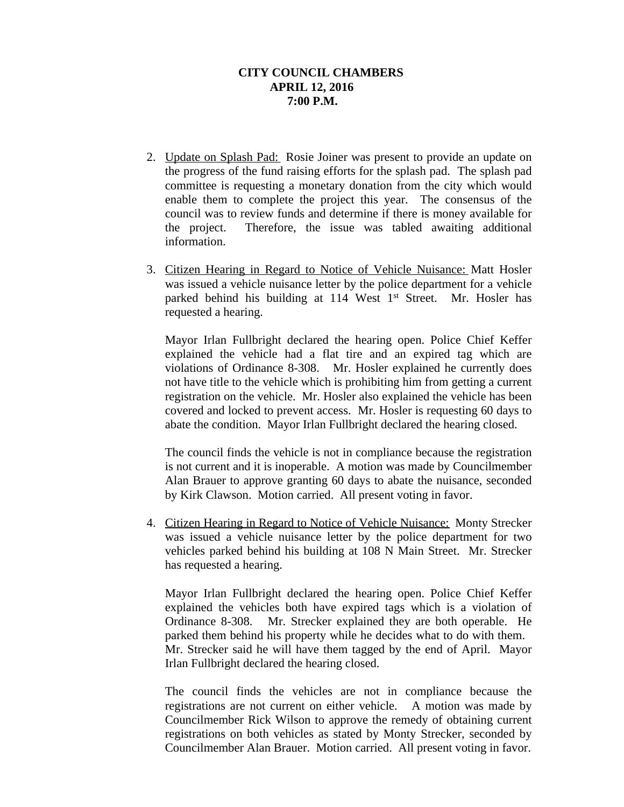## **CITY COUNCIL CHAMBERS APRIL 12, 2016 7:00 P.M.**

- 2. Update on Splash Pad: Rosie Joiner was present to provide an update on the progress of the fund raising efforts for the splash pad. The splash pad committee is requesting a monetary donation from the city which would enable them to complete the project this year. The consensus of the council was to review funds and determine if there is money available for the project. Therefore, the issue was tabled awaiting additional information.
- 3. Citizen Hearing in Regard to Notice of Vehicle Nuisance: Matt Hosler was issued a vehicle nuisance letter by the police department for a vehicle parked behind his building at 114 West 1<sup>st</sup> Street. Mr. Hosler has requested a hearing.

Mayor Irlan Fullbright declared the hearing open. Police Chief Keffer explained the vehicle had a flat tire and an expired tag which are violations of Ordinance 8-308. Mr. Hosler explained he currently does not have title to the vehicle which is prohibiting him from getting a current registration on the vehicle. Mr. Hosler also explained the vehicle has been covered and locked to prevent access. Mr. Hosler is requesting 60 days to abate the condition. Mayor Irlan Fullbright declared the hearing closed.

The council finds the vehicle is not in compliance because the registration is not current and it is inoperable. A motion was made by Councilmember Alan Brauer to approve granting 60 days to abate the nuisance, seconded by Kirk Clawson. Motion carried. All present voting in favor.

4. Citizen Hearing in Regard to Notice of Vehicle Nuisance: Monty Strecker was issued a vehicle nuisance letter by the police department for two vehicles parked behind his building at 108 N Main Street. Mr. Strecker has requested a hearing.

Mayor Irlan Fullbright declared the hearing open. Police Chief Keffer explained the vehicles both have expired tags which is a violation of Ordinance 8-308. Mr. Strecker explained they are both operable. He parked them behind his property while he decides what to do with them. Mr. Strecker said he will have them tagged by the end of April. Mayor Irlan Fullbright declared the hearing closed.

The council finds the vehicles are not in compliance because the registrations are not current on either vehicle. A motion was made by Councilmember Rick Wilson to approve the remedy of obtaining current registrations on both vehicles as stated by Monty Strecker, seconded by Councilmember Alan Brauer. Motion carried. All present voting in favor.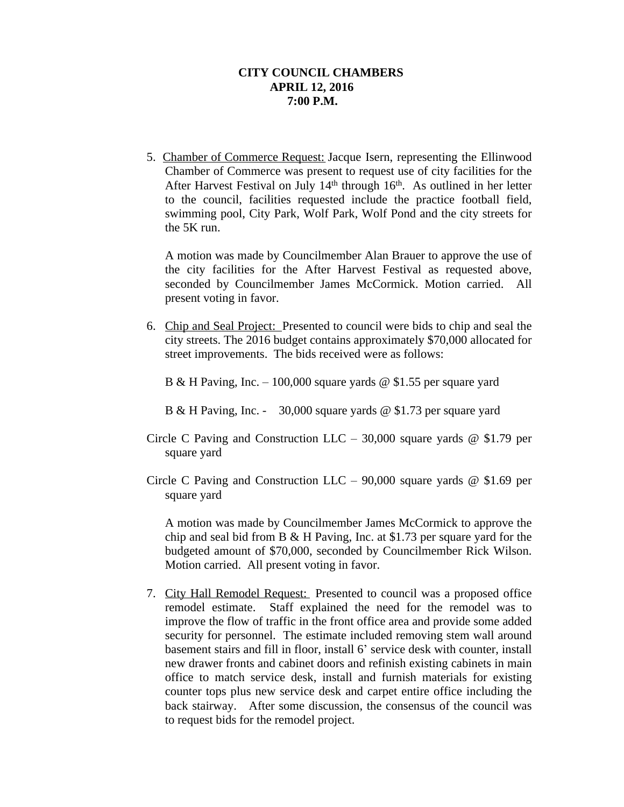### **CITY COUNCIL CHAMBERS APRIL 12, 2016 7:00 P.M.**

5. Chamber of Commerce Request: Jacque Isern, representing the Ellinwood Chamber of Commerce was present to request use of city facilities for the After Harvest Festival on July 14<sup>th</sup> through 16<sup>th</sup>. As outlined in her letter to the council, facilities requested include the practice football field, swimming pool, City Park, Wolf Park, Wolf Pond and the city streets for the 5K run.

A motion was made by Councilmember Alan Brauer to approve the use of the city facilities for the After Harvest Festival as requested above, seconded by Councilmember James McCormick. Motion carried. All present voting in favor.

6. Chip and Seal Project: Presented to council were bids to chip and seal the city streets. The 2016 budget contains approximately \$70,000 allocated for street improvements. The bids received were as follows:

B & H Paving, Inc. – 100,000 square yards  $\omega$  \$1.55 per square yard

- B & H Paving, Inc. 30,000 square yards @ \$1.73 per square yard
- Circle C Paving and Construction LLC 30,000 square yards  $@$  \$1.79 per square yard
- Circle C Paving and Construction LLC 90,000 square yards  $@$  \$1.69 per square yard

A motion was made by Councilmember James McCormick to approve the chip and seal bid from B & H Paving, Inc. at \$1.73 per square yard for the budgeted amount of \$70,000, seconded by Councilmember Rick Wilson. Motion carried. All present voting in favor.

7. City Hall Remodel Request: Presented to council was a proposed office remodel estimate. Staff explained the need for the remodel was to improve the flow of traffic in the front office area and provide some added security for personnel. The estimate included removing stem wall around basement stairs and fill in floor, install 6' service desk with counter, install new drawer fronts and cabinet doors and refinish existing cabinets in main office to match service desk, install and furnish materials for existing counter tops plus new service desk and carpet entire office including the back stairway. After some discussion, the consensus of the council was to request bids for the remodel project.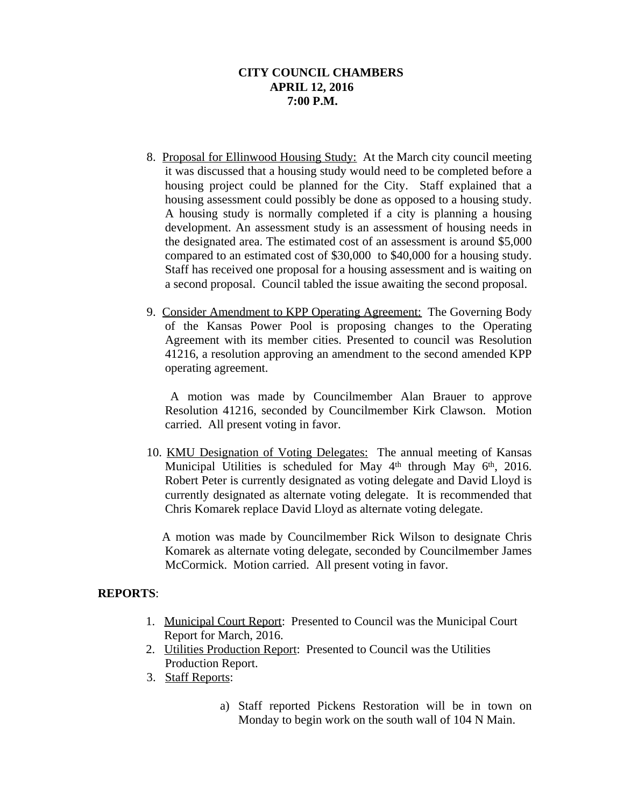# **CITY COUNCIL CHAMBERS APRIL 12, 2016 7:00 P.M.**

- 8. Proposal for Ellinwood Housing Study: At the March city council meeting it was discussed that a housing study would need to be completed before a housing project could be planned for the City. Staff explained that a housing assessment could possibly be done as opposed to a housing study. A housing study is normally completed if a city is planning a housing development. An assessment study is an assessment of housing needs in the designated area. The estimated cost of an assessment is around \$5,000 compared to an estimated cost of \$30,000 to \$40,000 for a housing study. Staff has received one proposal for a housing assessment and is waiting on a second proposal. Council tabled the issue awaiting the second proposal.
- 9. Consider Amendment to KPP Operating Agreement: The Governing Body of the Kansas Power Pool is proposing changes to the Operating Agreement with its member cities. Presented to council was Resolution 41216, a resolution approving an amendment to the second amended KPP operating agreement.

A motion was made by Councilmember Alan Brauer to approve Resolution 41216, seconded by Councilmember Kirk Clawson. Motion carried. All present voting in favor.

10. KMU Designation of Voting Delegates: The annual meeting of Kansas Municipal Utilities is scheduled for May 4<sup>th</sup> through May 6<sup>th</sup>, 2016. Robert Peter is currently designated as voting delegate and David Lloyd is currently designated as alternate voting delegate. It is recommended that Chris Komarek replace David Lloyd as alternate voting delegate.

A motion was made by Councilmember Rick Wilson to designate Chris Komarek as alternate voting delegate, seconded by Councilmember James McCormick. Motion carried. All present voting in favor.

## **REPORTS**:

- 1. Municipal Court Report: Presented to Council was the Municipal Court Report for March, 2016.
- 2. Utilities Production Report: Presented to Council was the Utilities Production Report.
- 3. Staff Reports:
	- a) Staff reported Pickens Restoration will be in town on Monday to begin work on the south wall of 104 N Main.